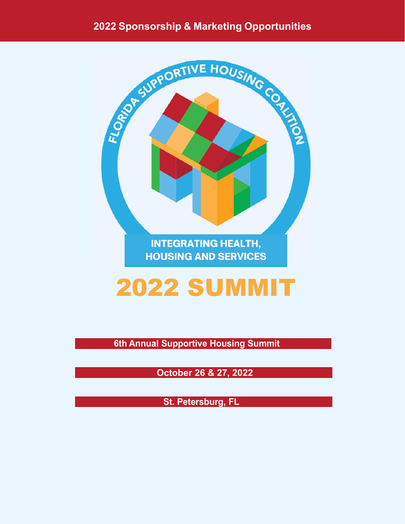#### **2022 Sponsorship & Marketing Opportunities**



# 2022 SUMMIT

**Annual Supportive Housing Summit 6th**

 **October 26 & 27, 2022**

**St. Petersburg, FL**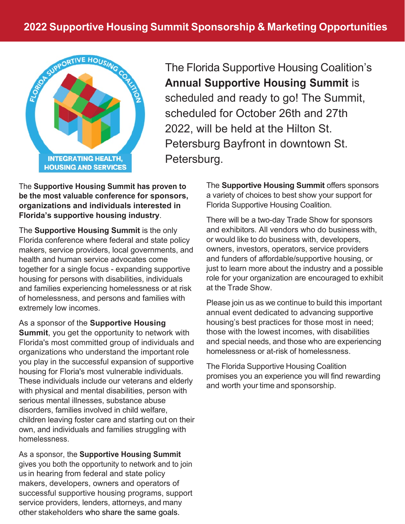

The Florida Supportive Housing Coalition's **Annual Supportive Housing Summit** is scheduled and ready to go! The Summit, scheduled for October 26th and 27th 2022, will be held at the Hilton St. Petersburg Bayfront in downtown St. Petersburg.

The **Supportive Housing Summit has proven to be the most valuable conference for sponsors, organizations and individuals interested in Florida's supportive housing industry**.

The **Supportive Housing Summit** is the only Florida conference where federal and state policy makers, service providers, local governments, and health and human service advocates come together for a single focus - expanding supportive housing for persons with disabilities, individuals and families experiencing homelessness or at risk of homelessness, and persons and families with extremely low incomes.

As a sponsor of the **Supportive Housing Summit**, you get the opportunity to network with Florida's most committed group of individuals and organizations who understand the important role you play in the successful expansion of supportive housing for Floria's most vulnerable individuals. These individuals include our veterans and elderly with physical and mental disabilities, person with serious mental illnesses, substance abuse disorders, families involved in child welfare, children leaving foster care and starting out on their own, and individuals and families struggling with homelessness.

[As a sponsor, t](mailto:Sheila@fshc.org)he **Supportive Housing Summit**  gives you both the opportunity to network and to join us in hearing from federal and state policy makers, developers, owners and operators of successful supportive housing programs, support service providers, lenders, attorneys, and many other stakeholders who share the same goals.

The **Supportive Housing Summit** offers sponsors a variety of choices to best show your support for Florida Supportive Housing Coalition.

There will be a two-day Trade Show for sponsors and exhibitors. All vendors who do business with, or would like to do business with, developers, owners, investors, operators, service providers and funders of affordable/supportive housing, or just to learn more about the industry and a possible role for your organization are encouraged to exhibit at the Trade Show.

Please join us as we continue to build this important annual event dedicated to advancing supportive housing's best practices for those most in need; those with the lowest incomes, with disabilities and special needs, and those who are experiencing homelessness or at-risk of homelessness.

The Florida Supportive Housing Coalition promises you an experience you will find rewarding and worth your time and sponsorship.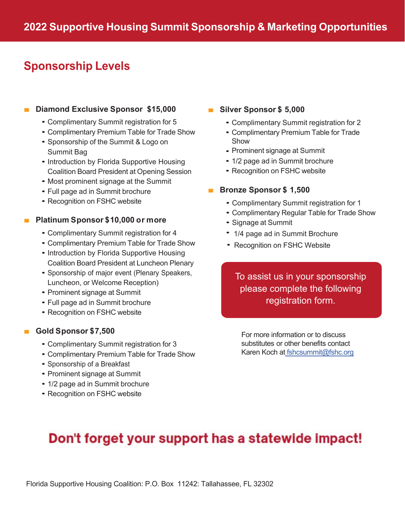## **Sponsorship Levels Sponsorship Levels**

### ■ **Diamond Exclusive Sponsor \$15,000** ■ **Diamond Exclusive Sponsor \$15,000**

- Complimentary Summit registration for 5 Complimentary Summit registration for 5
- Complimentary Premium Table for Trade Show Complimentary Premium Table for Trade Show
- Sponsorship of the Summit & Logo on Sponsorship of the Summit & Logo on Summit Bag Summit Bag
- Introduction by Florida Supportive Housing Introduction by Florida Supportive Housing Coalition Board President at Opening Session Coalition Board President at Opening Session
- Most prominent signage at the Summit Most prominent signage at the Summit
- Full page ad in Summit brochure Full page ad in Summit brochure
- Recognition on FSHC website Recognition on FSHC website

### ■ **Platinum Sponsor \$10,000 or more** ■ **Platinum Sponsor \$10,000 or more**

- Complimentary Summit registration for 4 Complimentary Summit registration for 4
- Complimentary Premium Table for Trade Show Complimentary Premium Table for Trade Show
- Introduction by Florida Supportive Housing Introduction by Florida Supportive Housing Coalition Board President at Luncheon Plenary Coalition Board President at Luncheon Plenary
- Sponsorship of major event (Plenary Speakers, Sponsorship of major event (Plenary Speakers, Luncheon, or Welcome Reception) Luncheon, or Welcome Reception)
- Prominent signage at Summit Prominent signage at Summit
- Full page ad in Summit brochure Full page ad in Summit brochure
- Recognition on FSHC website Recognition on FSHC website

### ■ **Gold Sponsor \$7,500** ■ **Gold Sponsor \$7,500**

- Complimentary Summit registration for 3 Complimentary Summit registration for 3
- Complimentary Premium Table for Trade Show Complimentary Premium Table for Trade Show
- Sponsorship of a Breakfast Sponsorship of a Breakfast
- Prominent signage at Summit Prominent signage at Summit
- 1/2 page ad in Summit brochure
- Recognition on FSHC website Recognition on FSHC website

### ■ **Silver Sponsor \$ 5,000** ■ **Silver Sponsor \$ 5,000**

- Complimentary Summit registration for 2 Complimentary Summit registration for 2
- Complimentary Premium Table for Trade Complimentary Premium Table for Trade Show Show
- Prominent signage at Summit Prominent signage at Summit
- 1/2 page ad in Summit brochure
- Recognition on FSHC website Recognition on FSHC website

### ■ **Bronze Sponsor \$ 1,500** ■ **Bronze Sponsor \$ 1,500**

- Complimentary Summit registration for 1 Complimentary Summit registration for 1
- Complimentary Regular Table for Trade Show Complimentary Regular Table for Trade Show
- Signage at Summit Signage at Summit
- • 1/4 page ad in Summit Brochure
- Recognition on FSHC Website

#### To assist us in your sponsorship [please complete the following](fshcsummit@fshc.org)  [registration form.](https://events.r20.constantcontact.com/register/eventReg?oeidk=a07ej4gq48z161ccf05&oseq=&c=&ch=)

For more information or to discuss substitutes or other benefits contact Karen Koch at fshcsummit@fshc.org

## Don't forget your support has a statewide impact!